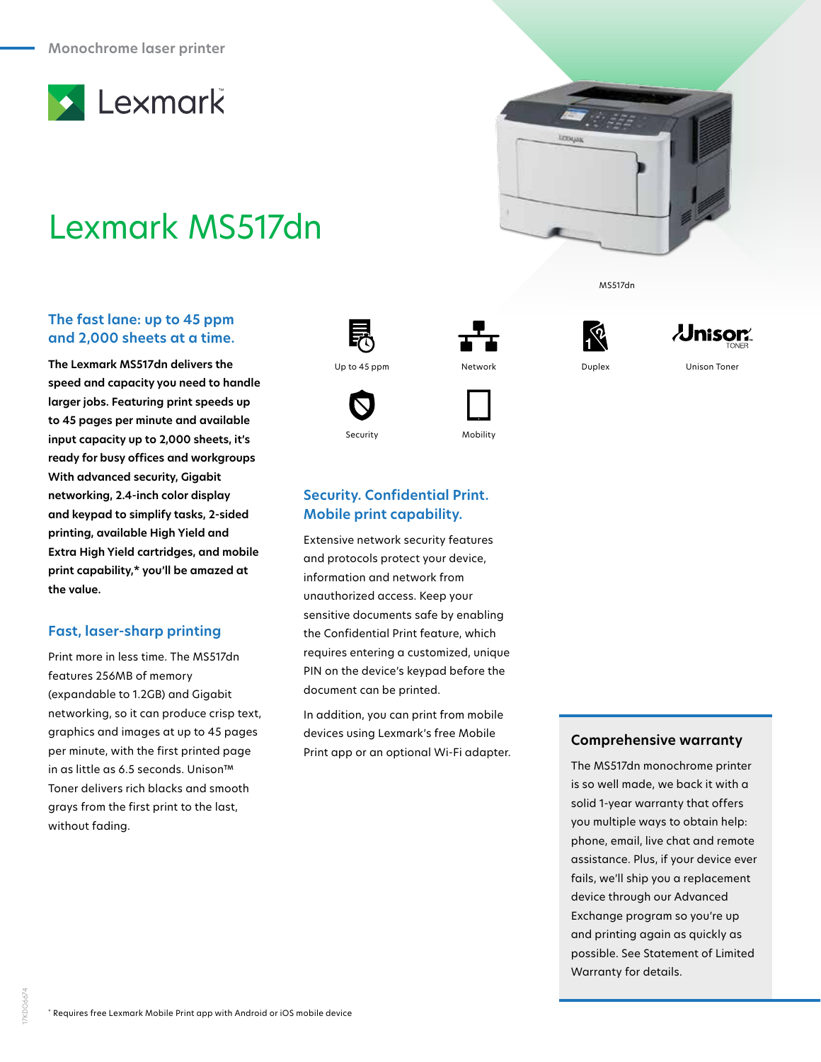

# Lexmark MS517dn

### **The fast lane: up to 45 ppm and 2,000 sheets at a time.**

**The Lexmark MS517dn delivers the speed and capacity you need to handle larger jobs. Featuring print speeds up to 45 pages per minute and available input capacity up to 2,000 sheets, it's ready for busy offices and workgroups With advanced security, Gigabit networking, 2.4-inch color display and keypad to simplify tasks, 2-sided printing, available High Yield and Extra High Yield cartridges, and mobile print capability,\* you'll be amazed at the value.**

#### **Fast, laser-sharp printing**

Print more in less time. The MS517dn features 256MB of memory (expandable to 1.2GB) and Gigabit networking, so it can produce crisp text, graphics and images at up to 45 pages per minute, with the first printed page in as little as 6.5 seconds. Unison™ Toner delivers rich blacks and smooth grays from the first print to the last, without fading.





Security Mobility





MS517dn



## **Security. Confidential Print. Mobile print capability.**

Extensive network security features and protocols protect your device, information and network from unauthorized access. Keep your sensitive documents safe by enabling the Confidential Print feature, which requires entering a customized, unique PIN on the device's keypad before the document can be printed.

In addition, you can print from mobile devices using Lexmark's free Mobile Print app or an optional Wi-Fi adapter.

#### **Comprehensive warranty**

The MS517dn monochrome printer is so well made, we back it with a solid 1-year warranty that offers you multiple ways to obtain help: phone, email, live chat and remote assistance. Plus, if your device ever fails, we'll ship you a replacement device through our Advanced Exchange program so you're up and printing again as quickly as possible. See Statement of Limited Warranty for details.

17KDO6674

"KDO6674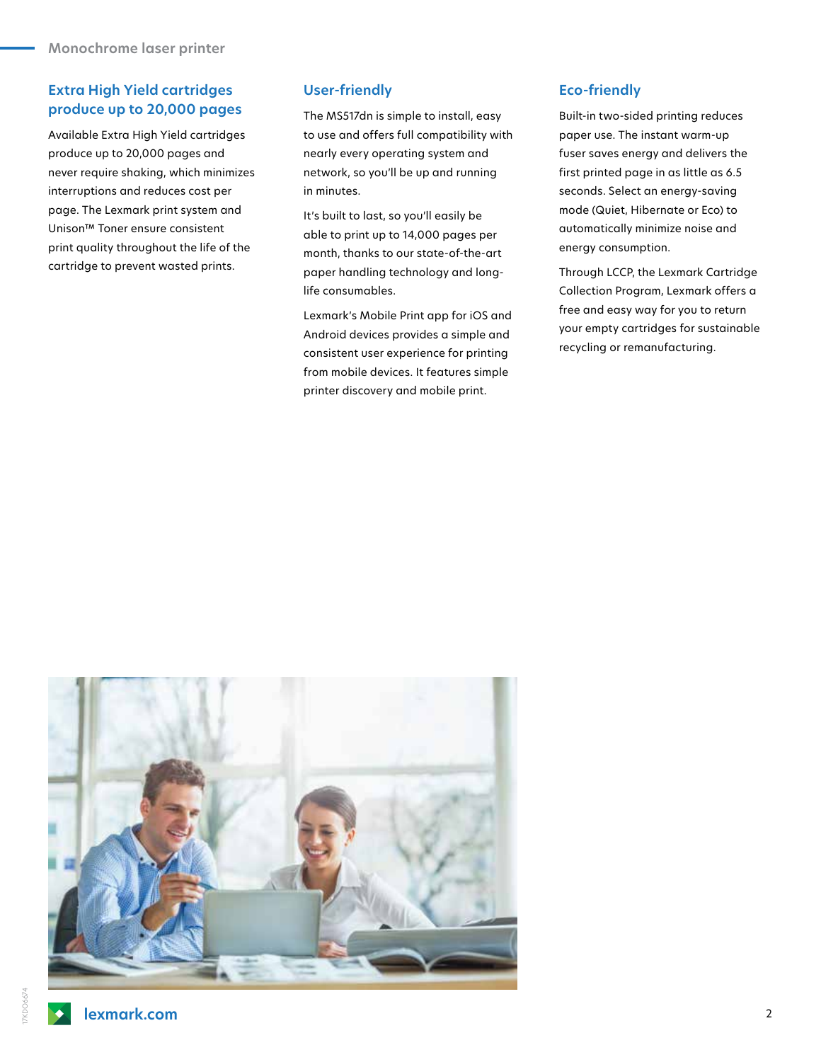# **Extra High Yield cartridges produce up to 20,000 pages**

Available Extra High Yield cartridges produce up to 20,000 pages and never require shaking, which minimizes interruptions and reduces cost per page. The Lexmark print system and Unison™ Toner ensure consistent print quality throughout the life of the cartridge to prevent wasted prints.

### **User-friendly**

The MS517dn is simple to install, easy to use and offers full compatibility with nearly every operating system and network, so you'll be up and running in minutes.

It's built to last, so you'll easily be able to print up to 14,000 pages per month, thanks to our state-of-the-art paper handling technology and longlife consumables.

Lexmark's Mobile Print app for iOS and Android devices provides a simple and consistent user experience for printing from mobile devices. It features simple printer discovery and mobile print.

### **Eco-friendly**

Built-in two-sided printing reduces paper use. The instant warm-up fuser saves energy and delivers the first printed page in as little as 6.5 seconds. Select an energy-saving mode (Quiet, Hibernate or Eco) to automatically minimize noise and energy consumption.

Through LCCP, the Lexmark Cartridge Collection Program, Lexmark offers a free and easy way for you to return your empty cartridges for sustainable recycling or remanufacturing.

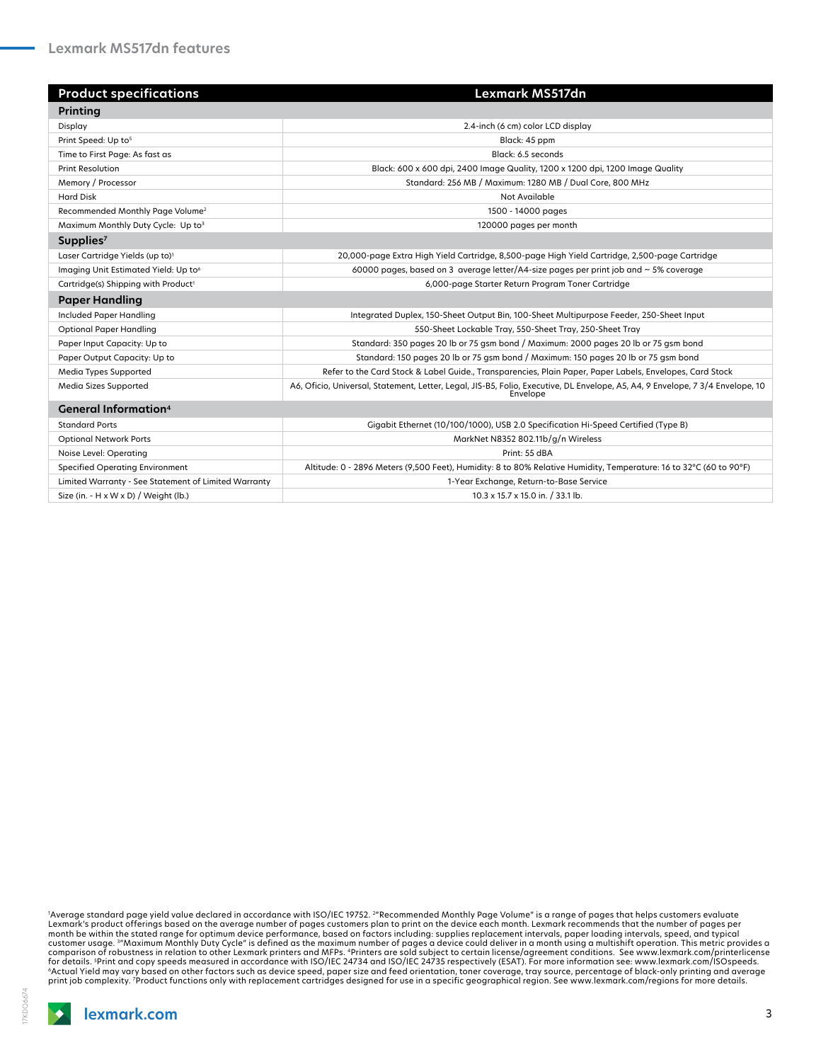| <b>Product specifications</b>                        | Lexmark MS517dn                                                                                                                            |
|------------------------------------------------------|--------------------------------------------------------------------------------------------------------------------------------------------|
| Printing                                             |                                                                                                                                            |
| Display                                              | 2.4-inch (6 cm) color LCD display                                                                                                          |
| Print Speed: Up to <sup>5</sup>                      | Black: 45 ppm                                                                                                                              |
| Time to First Page: As fast as                       | Black: 6.5 seconds                                                                                                                         |
| <b>Print Resolution</b>                              | Black: 600 x 600 dpi, 2400 Image Quality, 1200 x 1200 dpi, 1200 Image Quality                                                              |
| Memory / Processor                                   | Standard: 256 MB / Maximum: 1280 MB / Dual Core, 800 MHz                                                                                   |
| <b>Hard Disk</b>                                     | Not Available                                                                                                                              |
| Recommended Monthly Page Volume <sup>2</sup>         | 1500 - 14000 pages                                                                                                                         |
| Maximum Monthly Duty Cycle: Up to3                   | 120000 pages per month                                                                                                                     |
| Supplies <sup>7</sup>                                |                                                                                                                                            |
| Laser Cartridge Yields (up to) <sup>1</sup>          | 20,000-page Extra High Yield Cartridge, 8,500-page High Yield Cartridge, 2,500-page Cartridge                                              |
| Imaging Unit Estimated Yield: Up to <sup>6</sup>     | 60000 pages, based on 3 average letter/A4-size pages per print job and $\sim$ 5% coverage                                                  |
| Cartridge(s) Shipping with Product <sup>1</sup>      | 6,000-page Starter Return Program Toner Cartridge                                                                                          |
| <b>Paper Handling</b>                                |                                                                                                                                            |
| Included Paper Handling                              | Integrated Duplex, 150-Sheet Output Bin, 100-Sheet Multipurpose Feeder, 250-Sheet Input                                                    |
| <b>Optional Paper Handling</b>                       | 550-Sheet Lockable Tray, 550-Sheet Tray, 250-Sheet Tray                                                                                    |
| Paper Input Capacity: Up to                          | Standard: 350 pages 20 lb or 75 gsm bond / Maximum: 2000 pages 20 lb or 75 gsm bond                                                        |
| Paper Output Capacity: Up to                         | Standard: 150 pages 20 lb or 75 gsm bond / Maximum: 150 pages 20 lb or 75 gsm bond                                                         |
| Media Types Supported                                | Refer to the Card Stock & Label Guide., Transparencies, Plain Paper, Paper Labels, Envelopes, Card Stock                                   |
| Media Sizes Supported                                | A6, Oficio, Universal, Statement, Letter, Legal, JIS-B5, Folio, Executive, DL Envelope, A5, A4, 9 Envelope, 7 3/4 Envelope, 10<br>Envelope |
| <b>General Information</b> <sup>4</sup>              |                                                                                                                                            |
| <b>Standard Ports</b>                                | Gigabit Ethernet (10/100/1000), USB 2.0 Specification Hi-Speed Certified (Type B)                                                          |
| <b>Optional Network Ports</b>                        | MarkNet N8352 802.11b/g/n Wireless                                                                                                         |
| Noise Level: Operating                               | Print: 55 dBA                                                                                                                              |
| <b>Specified Operating Environment</b>               | Altitude: 0 - 2896 Meters (9,500 Feet), Humidity: 8 to 80% Relative Humidity, Temperature: 16 to 32°C (60 to 90°F)                         |
| Limited Warranty - See Statement of Limited Warranty | 1-Year Exchange, Return-to-Base Service                                                                                                    |
| Size (in. - H x W x D) / Weight (lb.)                | 10.3 x 15.7 x 15.0 in. / 33.1 lb.                                                                                                          |

"Average standard page yield value declared in accordance with ISO/IEC 19752. ""Recommended Monthly Page Volume" is a range of pages that helps customers evaluate<br>Lexmark's product offerings based on the average number of